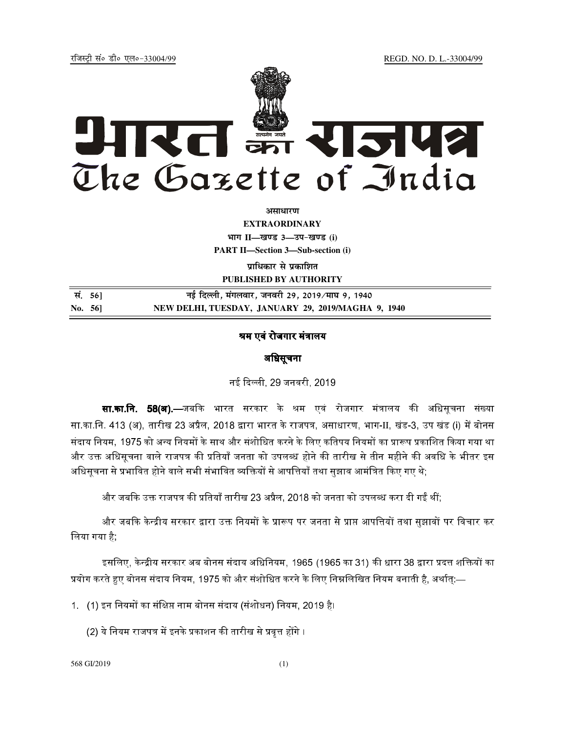jftLVªh laö Mhö ,yö&33004@99 REGD. NO. D. L.-33004/99



**vlk/kj.k**

**EXTRAORDINARY**  $4$ **HTT**  $II$ —*l***avs** 3—34-*b*avs (i) **PART II—Section 3—Sub-section (i)** 

**प्राधिकार से प्रकाशित PUBLISHED BY AUTHORITY**

| सं. 56] | नई दिल्ली, मंगलवार, जनवरी 29, 2019 ∕माघ 9, 1940    |
|---------|----------------------------------------------------|
| No. 561 | NEW DELHI, TUESDAY, JANUARY 29, 2019/MAGHA 9, 1940 |

## श्रम एवं रोजगार मंत्रालय

## अधिसूचना

नई दिल्ली. 29 जनवरी. 2019.

**सा.का.नि. 58(अ).—**जबकि भारत सरकार के श्रम एवं रोजगार मंत्रालय की अधिसचना संख्या सा.का.नि. 413 (अ), तारीख 23 अप्रैल, 2018 द्वारा भारत के राजपत्र, असाधारण, भाग-II, खंड-3, उप खंड (i) में बोनस संदाय नियम, 1975 को अन्य नियमों के साथ और संशोधित करने के लिए कतिपय नियमों का प्रारूप प्रकाशित किया गया था और उक्त अधिसूचना वाले राजपत्र की प्रतियाँ जनता को उपलब्ध होने की तारीख से तीन महीने की अवधि के भीतर इस अधिसचना से प्रभावित होने वाले सभी संभावित व्यक्तियों से आपत्तियाँ तथा सझाव आमंत्रित किए गए थे:

और जबकि उक्त राजपत्र की प्रतियाँ तारीख 23 अप्रैल, 2018 को जनता को उपलब्ध करा दी गईं थीं:

और जबकि केन्द्रीय सरकार द्वारा उक्त नियमों के प्रारूप पर जनता से प्राप्त आपत्तियों तथा सझावों पर विचार कर । िलया गया है;

इसलिए. केन्द्रीय सरकार अब बोनस संदाय अधिनियम. 1965 (1965 का 31) की धारा 38 द्वारा प्रदत्त शक्तियों का प्रयोग करते हुए बोनस संदाय नियम, 1975 को और संशोधित करने के लिए निम्नलिखित नियम बनाती है, अर्थात्:—

1. (1) इन नियमों का संक्षिप्त नाम बोनस संदाय (संशोधन) नियम, 2019 है।

(2) ये नियम राजपत्र में इनके प्रकाशन की तारीख से प्रवत्त होंगे ।

568 GI/2019 (1)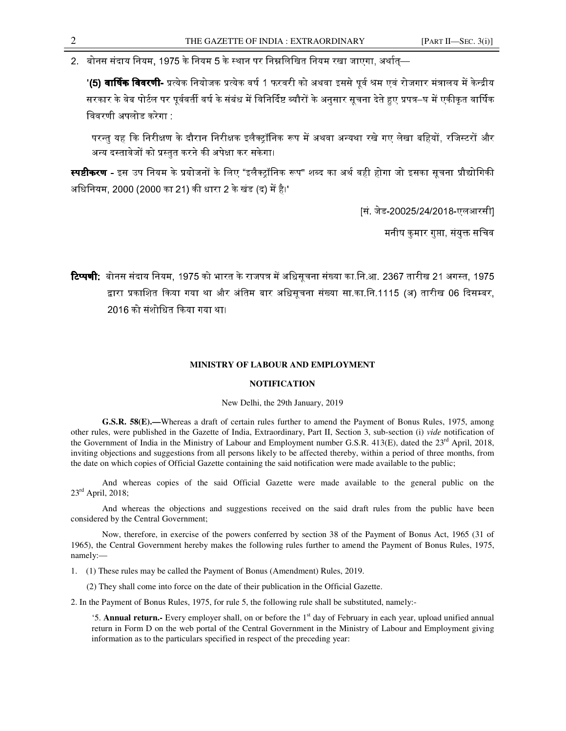2. बोनस संदाय नियम, 1975 के नियम 5 के स्थान पर निम्नलिखित नियम रखा जाएगा, अर्थात्—

'**(5) वार्षिक विवरणी-** प्रत्येक नियोजक प्रत्येक वर्ष 1 फरवरी को अथवा इससे पर्व श्रम एवं रोजगार मंत्रालय में केन्द्रीय सरकार के वेब पोर्टल पर पर्ववर्ती वर्ष के संबंध में विनिर्दिष्ट ब्यौरों के अनसार सचना देते हुए प्रपत्र–घ में एकीकत वार्षिक िववरणी अपलोड करेगा :

परन्त यह कि निरीक्षण के दौरान निरीक्षक इलैक्टॉनिक रूप में अथवा अन्यथा रखे गए लेखा बहियों. रजिस्टरों और अन्य दस्तावेजों को प्रस्तत करने की अपेक्षा कर सकेगा।

**स्पष्टीकरण -** इस उप नियम के प्रयोजनों के लिए "इलैक्टॉनिक रूप" शब्द का अर्थ वही होगा जो इसका सचना प्रौद्योगिकी अिधिनयम, 2000 (2000 का 21) धारा 2 के खंड (द) है।'

[सं. जेड-20025/24/2018-एलआरसी]

मनीष कुमार गुप्ता, संयुक्त सचिव

**टिप्पणी**: बोनस संदाय नियम, 1975 को भारत के राजपत्र में अधिसचना संख्या का.नि.आ. 2367 तारीख 21 अगस्त. 1975 द्वारा प्रकाशित किया गया था और अंतिम बार अधिसचना संख्या सा.का.नि.1115 (अ) तारीख 06 दिसम्बर. 2016 को संशोिधत 
गया था।

## **MINISTRY OF LABOUR AND EMPLOYMENT**

## **NOTIFICATION**

New Delhi, the 29th January, 2019

**G.S.R. 58(E).—**Whereas a draft of certain rules further to amend the Payment of Bonus Rules, 1975, among other rules, were published in the Gazette of India, Extraordinary, Part II, Section 3, sub-section (i) *vide* notification of the Government of India in the Ministry of Labour and Employment number G.S.R. 413(E), dated the 23<sup>rd</sup> April, 2018, inviting objections and suggestions from all persons likely to be affected thereby, within a period of three months, from the date on which copies of Official Gazette containing the said notification were made available to the public;

And whereas copies of the said Official Gazette were made available to the general public on the  $23^{\text{rd}}$  April, 2018;

And whereas the objections and suggestions received on the said draft rules from the public have been considered by the Central Government;

Now, therefore, in exercise of the powers conferred by section 38 of the Payment of Bonus Act, 1965 (31 of 1965), the Central Government hereby makes the following rules further to amend the Payment of Bonus Rules, 1975, namely:—

1. (1) These rules may be called the Payment of Bonus (Amendment) Rules, 2019.

(2) They shall come into force on the date of their publication in the Official Gazette.

2. In the Payment of Bonus Rules, 1975, for rule 5, the following rule shall be substituted, namely:-

'5. **Annual return.-** Every employer shall, on or before the 1st day of February in each year, upload unified annual return in Form D on the web portal of the Central Government in the Ministry of Labour and Employment giving information as to the particulars specified in respect of the preceding year: